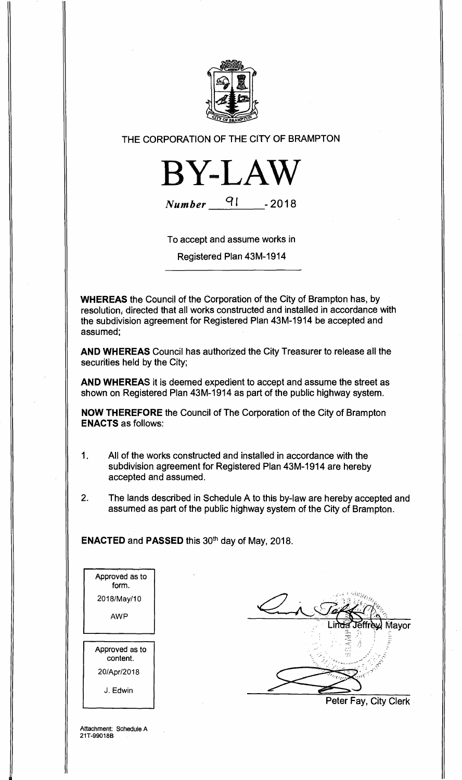

## THE CORPORATION OF THE CITY OF BRAMPTON



**Number ct <sup>I</sup>-2018** 

To accept and assume works in

Registered Plan 43M-1914

**WHEREAS** the Council of the Corporation of the City of Brampton has, by resolution, directed that all works constructed and installed in accordance with the subdivision agreement for Registered Plan 43M-1914 be accepted and assumed;

**AND WHEREAS** Council has authorized the City Treasurer to release all the securities held by the City;

**AND WHEREAS** it is deemed expedient to accept and assume the street as shown on Registered Plan 43M-1914 as part of the public highway system.

**NOW THEREFORE** the Council of The Corporation of the City of Brampton **ENACTS** as follows:

- 1. All of the works constructed and installed in accordance with the subdivision agreement for Registered Plan 43M-1914 are hereby accepted and assumed.
- 2. The lands described in Schedule A to this by-law are hereby accepted and assumed as part of the public highway system of the City of Brampton.

**ENACTED** and **PASSED** this 30th day of May, 2018.

Approved as to form. 2018/May/10 AWP Approved as to content. 20/Apr/2018 J. Edwin

Mavor Peter Fay, City Clerk

Attachment: Schedule A 21T-99018B

₽.